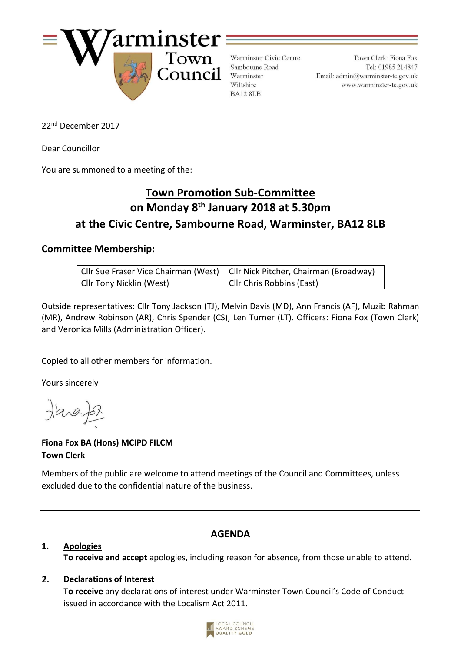

Warminster Civic Centre Sambourne Road Warminster Wiltshire BA12 8LB

Town Clerk: Fiona Fox Tel: 01985 214847 Email:  $\text{admin}\overline{\omega}$ warminster-tc.gov.uk www.warminster-tc.gov.uk

22nd December 2017

Dear Councillor

You are summoned to a meeting of the:

# **Town Promotion Sub-Committee on Monday 8 th January 2018 at 5.30pm at the Civic Centre, Sambourne Road, Warminster, BA12 8LB**

#### **Committee Membership:**

|                          | Cllr Sue Fraser Vice Chairman (West)   Cllr Nick Pitcher, Chairman (Broadway) |
|--------------------------|-------------------------------------------------------------------------------|
| Cllr Tony Nicklin (West) | Cllr Chris Robbins (East)                                                     |

Outside representatives: Cllr Tony Jackson (TJ), Melvin Davis (MD), Ann Francis (AF), Muzib Rahman (MR), Andrew Robinson (AR), Chris Spender (CS), Len Turner (LT). Officers: Fiona Fox (Town Clerk) and Veronica Mills (Administration Officer).

Copied to all other members for information.

Yours sincerely

 $\frac{1}{2}$ ara $\frac{1}{2}$ 

### **Fiona Fox BA (Hons) MCIPD FILCM Town Clerk**

Members of the public are welcome to attend meetings of the Council and Committees, unless excluded due to the confidential nature of the business.

#### **1. Apologies**

**AGENDA**

**To receive and accept** apologies, including reason for absence, from those unable to attend.

#### **Declarations of Interest**   $2.$

**To receive** any declarations of interest under Warminster Town Council's Code of Conduct issued in accordance with the Localism Act 2011.

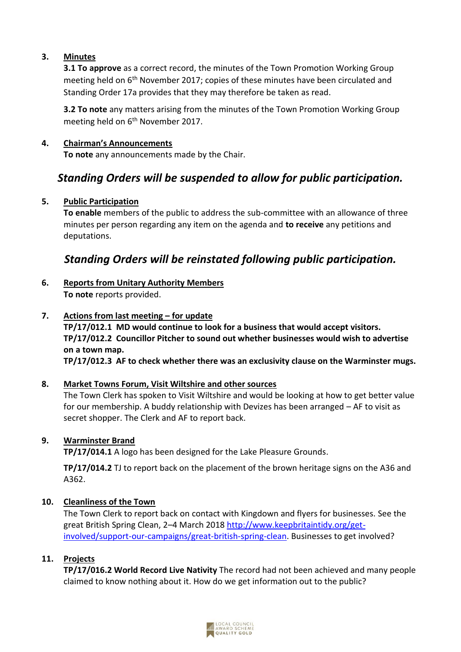#### **3. Minutes**

**3.1 To approve** as a correct record, the minutes of the Town Promotion Working Group meeting held on 6<sup>th</sup> November 2017; copies of these minutes have been circulated and Standing Order 17a provides that they may therefore be taken as read.

**3.2 To note** any matters arising from the minutes of the Town Promotion Working Group meeting held on 6<sup>th</sup> November 2017.

#### **4. Chairman's Announcements**

**To note** any announcements made by the Chair.

### *Standing Orders will be suspended to allow for public participation.*

#### **5. Public Participation**

**To enable** members of the public to address the sub-committee with an allowance of three minutes per person regarding any item on the agenda and **to receive** any petitions and deputations.

### *Standing Orders will be reinstated following public participation.*

#### **6. Reports from Unitary Authority Members To note** reports provided.

#### **7. Actions from last meeting – for update TP/17/012.1 MD would continue to look for a business that would accept visitors. TP/17/012.2 Councillor Pitcher to sound out whether businesses would wish to advertise on a town map. TP/17/012.3 AF to check whether there was an exclusivity clause on the Warminster mugs.**

#### **8. Market Towns Forum, Visit Wiltshire and other sources**

The Town Clerk has spoken to Visit Wiltshire and would be looking at how to get better value for our membership. A buddy relationship with Devizes has been arranged – AF to visit as secret shopper. The Clerk and AF to report back.

#### **9. Warminster Brand**

**TP/17/014.1** A logo has been designed for the Lake Pleasure Grounds.

**TP/17/014.2** TJ to report back on the placement of the brown heritage signs on the A36 and A362.

#### **10. Cleanliness of the Town**

The Town Clerk to report back on contact with Kingdown and flyers for businesses. See the great British Spring Clean, 2–4 March 2018 [http://www.keepbritaintidy.org/get](http://www.keepbritaintidy.org/get-involved/support-our-campaigns/great-british-spring-clean)[involved/support-our-campaigns/great-british-spring-clean.](http://www.keepbritaintidy.org/get-involved/support-our-campaigns/great-british-spring-clean) Businesses to get involved?

#### **11. Projects**

**TP/17/016.2 World Record Live Nativity** The record had not been achieved and many people claimed to know nothing about it. How do we get information out to the public?

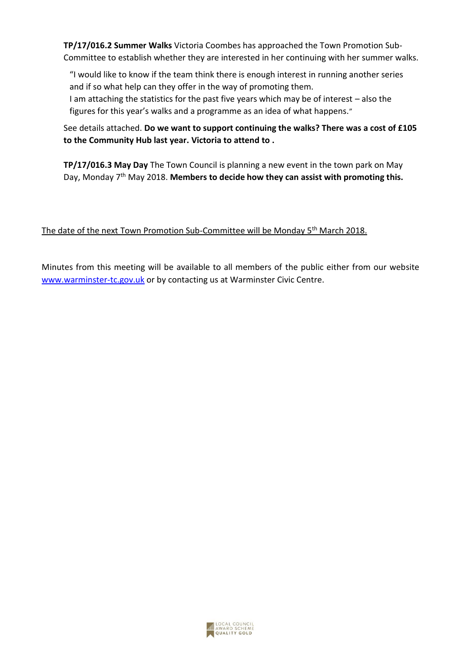**TP/17/016.2 Summer Walks** Victoria Coombes has approached the Town Promotion Sub-Committee to establish whether they are interested in her continuing with her summer walks.

"I would like to know if the team think there is enough interest in running another series and if so what help can they offer in the way of promoting them. I am attaching the statistics for the past five years which may be of interest – also the

figures for this year's walks and a programme as an idea of what happens."

See details attached. **Do we want to support continuing the walks? There was a cost of £105 to the Community Hub last year. Victoria to attend to .**

**TP/17/016.3 May Day** The Town Council is planning a new event in the town park on May Day, Monday 7th May 2018. **Members to decide how they can assist with promoting this.**

#### The date of the next Town Promotion Sub-Committee will be Monday 5<sup>th</sup> March 2018.

Minutes from this meeting will be available to all members of the public either from our website [www.warminster-tc.gov.uk](http://www.warminster.uk.com/) or by contacting us at Warminster Civic Centre.

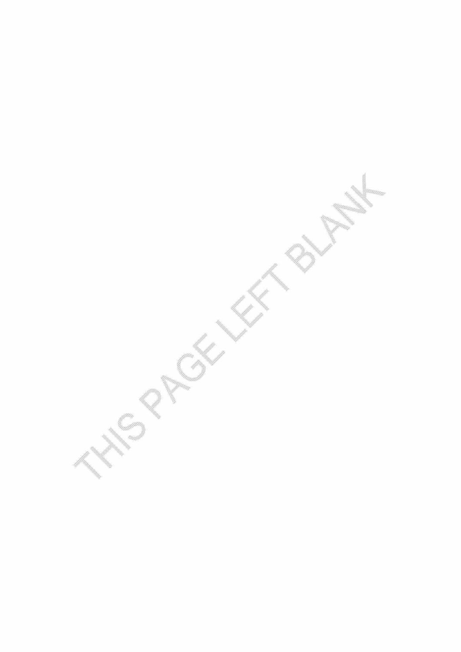THIS PARK Kit BURNET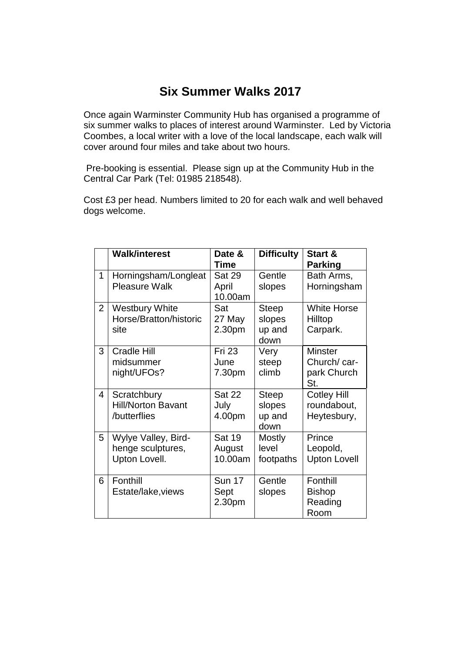# **Six Summer Walks 2017**

Once again Warminster Community Hub has organised a programme of six summer walks to places of interest around Warminster. Led by Victoria Coombes, a local writer with a love of the local landscape, each walk will cover around four miles and take about two hours.

Pre-booking is essential. Please sign up at the Community Hub in the Central Car Park (Tel: 01985 218548).

Cost £3 per head. Numbers limited to 20 for each walk and well behaved dogs welcome.

|                | <b>Walk/interest</b>                                      | Date &<br>Time                     | <b>Difficulty</b>                        | <b>Start &amp;</b><br><b>Parking</b>                |
|----------------|-----------------------------------------------------------|------------------------------------|------------------------------------------|-----------------------------------------------------|
| 1              | Horningsham/Longleat<br><b>Pleasure Walk</b>              | <b>Sat 29</b><br>April<br>10.00am  | Gentle<br>slopes                         | Bath Arms,<br>Horningsham                           |
| $\overline{2}$ | <b>Westbury White</b><br>Horse/Bratton/historic<br>site   | Sat<br>27 May<br>2.30pm            | <b>Steep</b><br>slopes<br>up and<br>down | <b>White Horse</b><br>Hilltop<br>Carpark.           |
| 3              | <b>Cradle Hill</b><br>midsummer<br>night/UFOs?            | <b>Fri 23</b><br>June<br>7.30pm    | Very<br>steep<br>climb                   | <b>Minster</b><br>Church/car-<br>park Church<br>St. |
| 4              | Scratchbury<br><b>Hill/Norton Bavant</b><br>/butterflies  | <b>Sat 22</b><br>July<br>4.00pm    | <b>Steep</b><br>slopes<br>up and<br>down | <b>Cotley Hill</b><br>roundabout,<br>Heytesbury,    |
| 5              | Wylye Valley, Bird-<br>henge sculptures,<br>Upton Lovell. | <b>Sat 19</b><br>August<br>10.00am | <b>Mostly</b><br>level<br>footpaths      | Prince<br>Leopold,<br><b>Upton Lovell</b>           |
| 6              | Fonthill<br>Estate/lake, views                            | <b>Sun 17</b><br>Sept<br>2.30pm    | Gentle<br>slopes                         | Fonthill<br><b>Bishop</b><br>Reading<br>Room        |